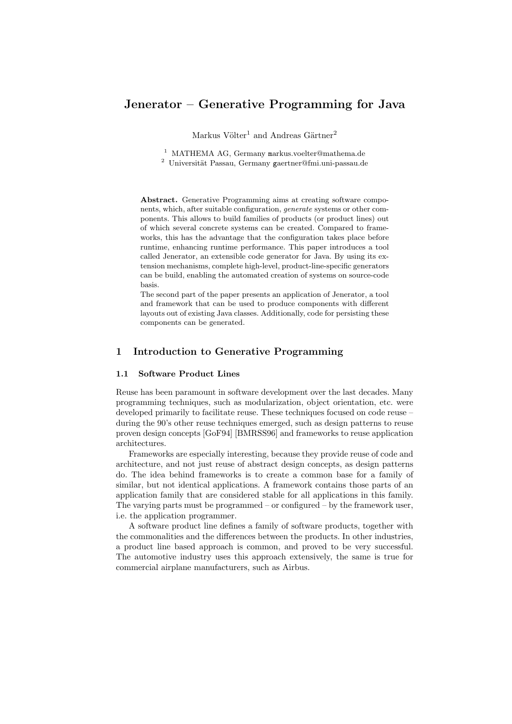# Jenerator – Generative Programming for Java

Markus Völter<sup>1</sup> and Andreas Gärtner<sup>2</sup>

<sup>1</sup> MATHEMA AG, Germany markus.voelter@mathema.de

 $2$  Universität Passau, Germany gaertner@fmi.uni-passau.de

Abstract. Generative Programming aims at creating software components, which, after suitable configuration, generate systems or other components. This allows to build families of products (or product lines) out of which several concrete systems can be created. Compared to frameworks, this has the advantage that the configuration takes place before runtime, enhancing runtime performance. This paper introduces a tool called Jenerator, an extensible code generator for Java. By using its extension mechanisms, complete high-level, product-line-specific generators can be build, enabling the automated creation of systems on source-code basis.

The second part of the paper presents an application of Jenerator, a tool and framework that can be used to produce components with different layouts out of existing Java classes. Additionally, code for persisting these components can be generated.

# 1 Introduction to Generative Programming

### 1.1 Software Product Lines

Reuse has been paramount in software development over the last decades. Many programming techniques, such as modularization, object orientation, etc. were developed primarily to facilitate reuse. These techniques focused on code reuse – during the 90's other reuse techniques emerged, such as design patterns to reuse proven design concepts [GoF94] [BMRSS96] and frameworks to reuse application architectures.

Frameworks are especially interesting, because they provide reuse of code and architecture, and not just reuse of abstract design concepts, as design patterns do. The idea behind frameworks is to create a common base for a family of similar, but not identical applications. A framework contains those parts of an application family that are considered stable for all applications in this family. The varying parts must be programmed – or configured – by the framework user, i.e. the application programmer.

A software product line defines a family of software products, together with the commonalities and the differences between the products. In other industries, a product line based approach is common, and proved to be very successful. The automotive industry uses this approach extensively, the same is true for commercial airplane manufacturers, such as Airbus.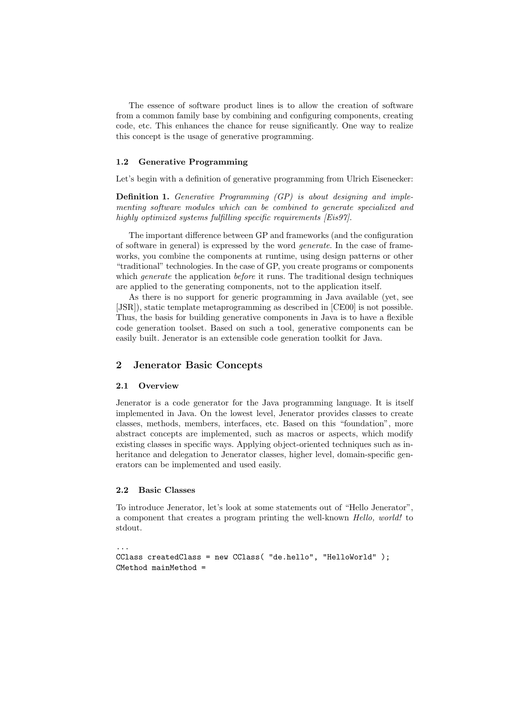The essence of software product lines is to allow the creation of software from a common family base by combining and configuring components, creating code, etc. This enhances the chance for reuse significantly. One way to realize this concept is the usage of generative programming.

### 1.2 Generative Programming

Let's begin with a definition of generative programming from Ulrich Eisenecker:

Definition 1. Generative Programming (GP) is about designing and implementing software modules which can be combined to generate specialized and highly optimized systems fulfilling specific requirements [Eis97].

The important difference between GP and frameworks (and the configuration of software in general) is expressed by the word generate. In the case of frameworks, you combine the components at runtime, using design patterns or other "traditional" technologies. In the case of GP, you create programs or components which *generate* the application *before* it runs. The traditional design techniques are applied to the generating components, not to the application itself.

As there is no support for generic programming in Java available (yet, see [JSR]), static template metaprogramming as described in [CE00] is not possible. Thus, the basis for building generative components in Java is to have a flexible code generation toolset. Based on such a tool, generative components can be easily built. Jenerator is an extensible code generation toolkit for Java.

# 2 Jenerator Basic Concepts

#### 2.1 Overview

Jenerator is a code generator for the Java programming language. It is itself implemented in Java. On the lowest level, Jenerator provides classes to create classes, methods, members, interfaces, etc. Based on this "foundation", more abstract concepts are implemented, such as macros or aspects, which modify existing classes in specific ways. Applying object-oriented techniques such as inheritance and delegation to Jenerator classes, higher level, domain-specific generators can be implemented and used easily.

#### 2.2 Basic Classes

To introduce Jenerator, let's look at some statements out of "Hello Jenerator", a component that creates a program printing the well-known Hello, world! to stdout.

```
...
CClass createdClass = new CClass( "de.hello", "HelloWorld" );
CMethod mainMethod =
```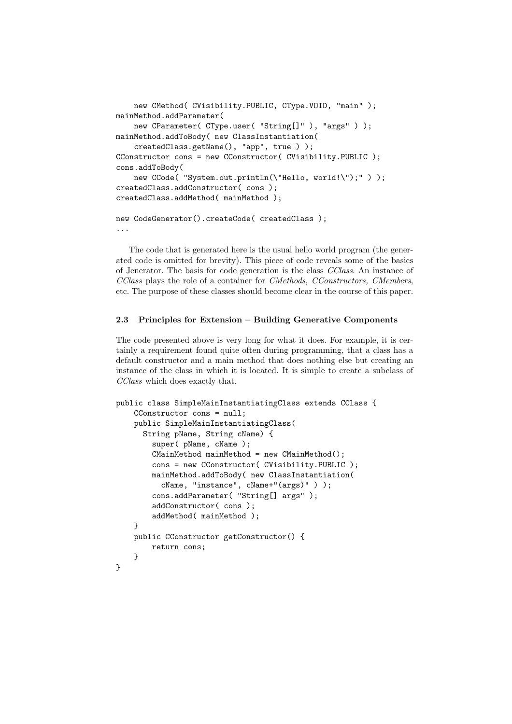```
new CMethod( CVisibility.PUBLIC, CType.VOID, "main" );
mainMethod.addParameter(
    new CParameter( CType.user( "String[]" ), "args" ) );
mainMethod.addToBody( new ClassInstantiation(
    createdClass.getName(), "app", true ) );
CConstructor cons = new CConstructor( CVisibility.PUBLIC );
cons.addToBody(
    new CCode( "System.out.println(\"Hello, world!\");" ) );
createdClass.addConstructor( cons );
createdClass.addMethod( mainMethod );
new CodeGenerator().createCode( createdClass );
```
...

The code that is generated here is the usual hello world program (the generated code is omitted for brevity). This piece of code reveals some of the basics of Jenerator. The basis for code generation is the class CClass. An instance of CClass plays the role of a container for CMethods, CConstructors, CMembers, etc. The purpose of these classes should become clear in the course of this paper.

## 2.3 Principles for Extension – Building Generative Components

The code presented above is very long for what it does. For example, it is certainly a requirement found quite often during programming, that a class has a default constructor and a main method that does nothing else but creating an instance of the class in which it is located. It is simple to create a subclass of CClass which does exactly that.

```
public class SimpleMainInstantiatingClass extends CClass {
    CConstructor cons = null;
    public SimpleMainInstantiatingClass(
      String pName, String cName) {
        super( pName, cName );
        CMainMethod mainMethod = new CMainMethod();
        cons = new CConstructor( CVisibility.PUBLIC );
        mainMethod.addToBody( new ClassInstantiation(
          cName, "instance", cName+"(args)" ) );
        cons.addParameter( "String[] args" );
        addConstructor( cons );
        addMethod( mainMethod );
    }
    public CConstructor getConstructor() {
        return cons;
    }
}
```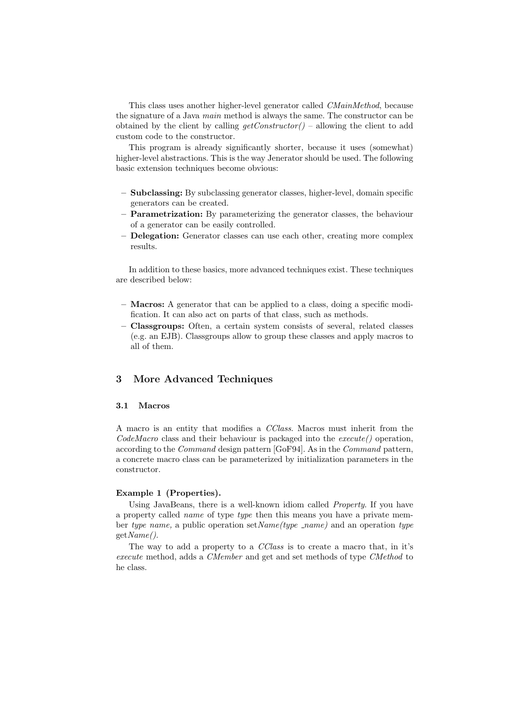This class uses another higher-level generator called CMainMethod, because the signature of a Java main method is always the same. The constructor can be obtained by the client by calling  $getConstructor()$  – allowing the client to add custom code to the constructor.

This program is already significantly shorter, because it uses (somewhat) higher-level abstractions. This is the way Jenerator should be used. The following basic extension techniques become obvious:

- Subclassing: By subclassing generator classes, higher-level, domain specific generators can be created.
- **Parametrization:** By parameterizing the generator classes, the behaviour of a generator can be easily controlled.
- Delegation: Generator classes can use each other, creating more complex results.

In addition to these basics, more advanced techniques exist. These techniques are described below:

- Macros: A generator that can be applied to a class, doing a specific modification. It can also act on parts of that class, such as methods.
- Classgroups: Often, a certain system consists of several, related classes (e.g. an EJB). Classgroups allow to group these classes and apply macros to all of them.

# 3 More Advanced Techniques

### 3.1 Macros

A macro is an entity that modifies a CClass. Macros must inherit from the  $CodeMacro$  class and their behaviour is packaged into the  $execute()$  operation, according to the Command design pattern [GoF94]. As in the Command pattern, a concrete macro class can be parameterized by initialization parameters in the constructor.

# Example 1 (Properties).

Using JavaBeans, there is a well-known idiom called Property. If you have a property called *name* of type type then this means you have a private member type name, a public operation set  $Name(type\_name)$  and an operation type getName().

The way to add a property to a CClass is to create a macro that, in it's execute method, adds a CMember and get and set methods of type CMethod to he class.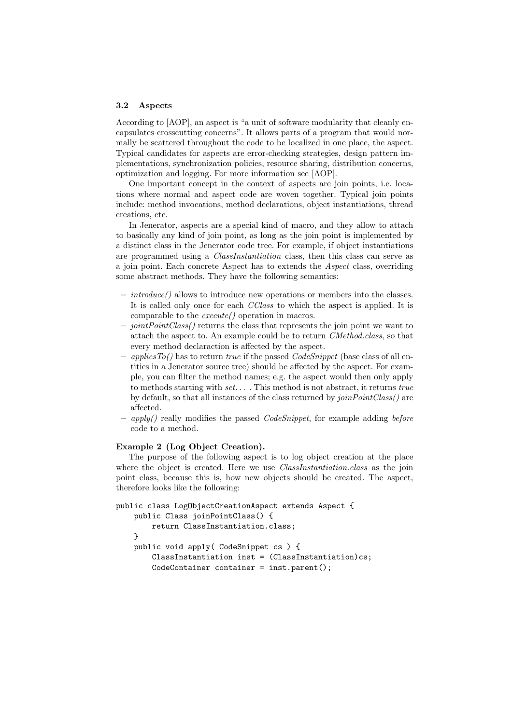#### 3.2 Aspects

According to [AOP], an aspect is "a unit of software modularity that cleanly encapsulates crosscutting concerns". It allows parts of a program that would normally be scattered throughout the code to be localized in one place, the aspect. Typical candidates for aspects are error-checking strategies, design pattern implementations, synchronization policies, resource sharing, distribution concerns, optimization and logging. For more information see [AOP].

One important concept in the context of aspects are join points, i.e. locations where normal and aspect code are woven together. Typical join points include: method invocations, method declarations, object instantiations, thread creations, etc.

In Jenerator, aspects are a special kind of macro, and they allow to attach to basically any kind of join point, as long as the join point is implemented by a distinct class in the Jenerator code tree. For example, if object instantiations are programmed using a ClassInstantiation class, then this class can serve as a join point. Each concrete Aspect has to extends the Aspect class, overriding some abstract methods. They have the following semantics:

- introduce() allows to introduce new operations or members into the classes. It is called only once for each CClass to which the aspect is applied. It is comparable to the execute() operation in macros.
- $-$  joint  $PointClass()$  returns the class that represents the join point we want to attach the aspect to. An example could be to return CMethod.class, so that every method declaraction is affected by the aspect.
- *applies* To () has to return true if the passed *CodeSnippet* (base class of all entities in a Jenerator source tree) should be affected by the aspect. For example, you can filter the method names; e.g. the aspect would then only apply to methods starting with  $set...$ . This method is not abstract, it returns true by default, so that all instances of the class returned by joinPointClass() are affected.
- $-$  apply() really modifies the passed *CodeSnippet*, for example adding *before* code to a method.

# Example 2 (Log Object Creation).

The purpose of the following aspect is to log object creation at the place where the object is created. Here we use *ClassInstantiation.class* as the join point class, because this is, how new objects should be created. The aspect, therefore looks like the following:

```
public class LogObjectCreationAspect extends Aspect {
   public Class joinPointClass() {
        return ClassInstantiation.class;
    }
   public void apply( CodeSnippet cs ) {
        ClassInstantiation inst = (ClassInstantiation)cs;CodeContainer container = inst.parent();
```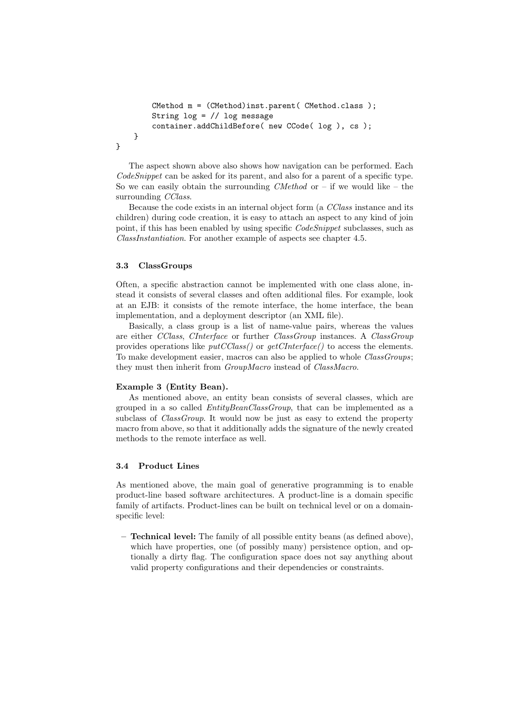```
CMethod m = (CMethod)inst.parent( CMethod.class );
    String log = // log message
    container.addChildBefore( new CCode( log ), cs );
}
```
The aspect shown above also shows how navigation can be performed. Each CodeSnippet can be asked for its parent, and also for a parent of a specific type. So we can easily obtain the surrounding *CMethod* or  $-$  if we would like  $-$  the surrounding *CClass*.

Because the code exists in an internal object form (a CClass instance and its children) during code creation, it is easy to attach an aspect to any kind of join point, if this has been enabled by using specific *CodeSnippet* subclasses, such as ClassInstantiation. For another example of aspects see chapter 4.5.

### 3.3 ClassGroups

}

Often, a specific abstraction cannot be implemented with one class alone, instead it consists of several classes and often additional files. For example, look at an EJB: it consists of the remote interface, the home interface, the bean implementation, and a deployment descriptor (an XML file).

Basically, a class group is a list of name-value pairs, whereas the values are either CClass, CInterface or further ClassGroup instances. A ClassGroup provides operations like  $putCClass()$  or  $getClinterface()$  to access the elements. To make development easier, macros can also be applied to whole *ClassGroups*; they must then inherit from *GroupMacro* instead of *ClassMacro*.

#### Example 3 (Entity Bean).

As mentioned above, an entity bean consists of several classes, which are grouped in a so called *EntityBeanClassGroup*, that can be implemented as a subclass of *ClassGroup*. It would now be just as easy to extend the property macro from above, so that it additionally adds the signature of the newly created methods to the remote interface as well.

## 3.4 Product Lines

As mentioned above, the main goal of generative programming is to enable product-line based software architectures. A product-line is a domain specific family of artifacts. Product-lines can be built on technical level or on a domainspecific level:

– Technical level: The family of all possible entity beans (as defined above), which have properties, one (of possibly many) persistence option, and optionally a dirty flag. The configuration space does not say anything about valid property configurations and their dependencies or constraints.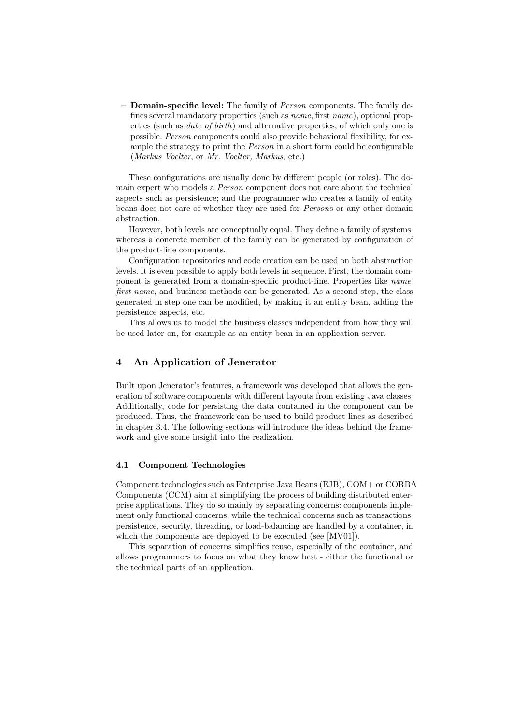– Domain-specific level: The family of Person components. The family defines several mandatory properties (such as name, first name), optional properties (such as date of birth) and alternative properties, of which only one is possible. Person components could also provide behavioral flexibility, for example the strategy to print the *Person* in a short form could be configurable (Markus Voelter, or Mr. Voelter, Markus, etc.)

These configurations are usually done by different people (or roles). The domain expert who models a Person component does not care about the technical aspects such as persistence; and the programmer who creates a family of entity beans does not care of whether they are used for Persons or any other domain abstraction.

However, both levels are conceptually equal. They define a family of systems, whereas a concrete member of the family can be generated by configuration of the product-line components.

Configuration repositories and code creation can be used on both abstraction levels. It is even possible to apply both levels in sequence. First, the domain component is generated from a domain-specific product-line. Properties like name, first name, and business methods can be generated. As a second step, the class generated in step one can be modified, by making it an entity bean, adding the persistence aspects, etc.

This allows us to model the business classes independent from how they will be used later on, for example as an entity bean in an application server.

# 4 An Application of Jenerator

Built upon Jenerator's features, a framework was developed that allows the generation of software components with different layouts from existing Java classes. Additionally, code for persisting the data contained in the component can be produced. Thus, the framework can be used to build product lines as described in chapter 3.4. The following sections will introduce the ideas behind the framework and give some insight into the realization.

### 4.1 Component Technologies

Component technologies such as Enterprise Java Beans (EJB), COM+ or CORBA Components (CCM) aim at simplifying the process of building distributed enterprise applications. They do so mainly by separating concerns: components implement only functional concerns, while the technical concerns such as transactions, persistence, security, threading, or load-balancing are handled by a container, in which the components are deployed to be executed (see [MV01]).

This separation of concerns simplifies reuse, especially of the container, and allows programmers to focus on what they know best - either the functional or the technical parts of an application.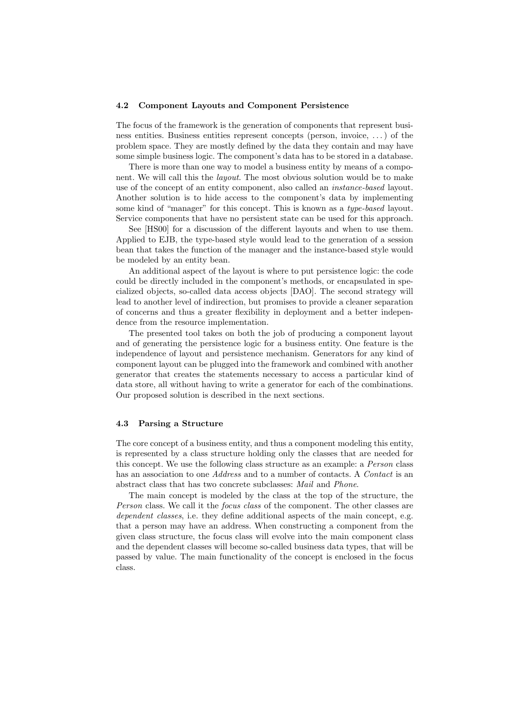#### 4.2 Component Layouts and Component Persistence

The focus of the framework is the generation of components that represent business entities. Business entities represent concepts (person, invoice, . . .) of the problem space. They are mostly defined by the data they contain and may have some simple business logic. The component's data has to be stored in a database.

There is more than one way to model a business entity by means of a component. We will call this the layout. The most obvious solution would be to make use of the concept of an entity component, also called an instance-based layout. Another solution is to hide access to the component's data by implementing some kind of "manager" for this concept. This is known as a *type-based* layout. Service components that have no persistent state can be used for this approach.

See [HS00] for a discussion of the different layouts and when to use them. Applied to EJB, the type-based style would lead to the generation of a session bean that takes the function of the manager and the instance-based style would be modeled by an entity bean.

An additional aspect of the layout is where to put persistence logic: the code could be directly included in the component's methods, or encapsulated in specialized objects, so-called data access objects [DAO]. The second strategy will lead to another level of indirection, but promises to provide a cleaner separation of concerns and thus a greater flexibility in deployment and a better independence from the resource implementation.

The presented tool takes on both the job of producing a component layout and of generating the persistence logic for a business entity. One feature is the independence of layout and persistence mechanism. Generators for any kind of component layout can be plugged into the framework and combined with another generator that creates the statements necessary to access a particular kind of data store, all without having to write a generator for each of the combinations. Our proposed solution is described in the next sections.

#### 4.3 Parsing a Structure

The core concept of a business entity, and thus a component modeling this entity, is represented by a class structure holding only the classes that are needed for this concept. We use the following class structure as an example: a Person class has an association to one Address and to a number of contacts. A Contact is an abstract class that has two concrete subclasses: Mail and Phone.

The main concept is modeled by the class at the top of the structure, the Person class. We call it the focus class of the component. The other classes are dependent classes, i.e. they define additional aspects of the main concept, e.g. that a person may have an address. When constructing a component from the given class structure, the focus class will evolve into the main component class and the dependent classes will become so-called business data types, that will be passed by value. The main functionality of the concept is enclosed in the focus class.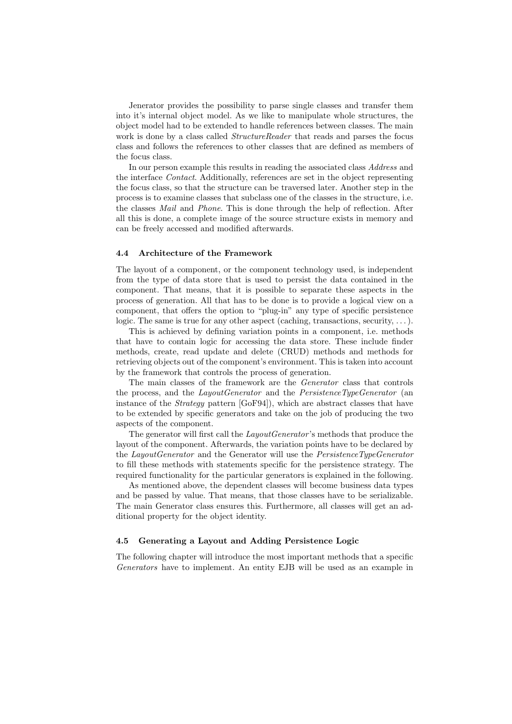Jenerator provides the possibility to parse single classes and transfer them into it's internal object model. As we like to manipulate whole structures, the object model had to be extended to handle references between classes. The main work is done by a class called *StructureReader* that reads and parses the focus class and follows the references to other classes that are defined as members of the focus class.

In our person example this results in reading the associated class Address and the interface Contact. Additionally, references are set in the object representing the focus class, so that the structure can be traversed later. Another step in the process is to examine classes that subclass one of the classes in the structure, i.e. the classes Mail and Phone. This is done through the help of reflection. After all this is done, a complete image of the source structure exists in memory and can be freely accessed and modified afterwards.

### 4.4 Architecture of the Framework

The layout of a component, or the component technology used, is independent from the type of data store that is used to persist the data contained in the component. That means, that it is possible to separate these aspects in the process of generation. All that has to be done is to provide a logical view on a component, that offers the option to "plug-in" any type of specific persistence logic. The same is true for any other aspect (caching, transactions, security,  $\dots$ ).

This is achieved by defining variation points in a component, i.e. methods that have to contain logic for accessing the data store. These include finder methods, create, read update and delete (CRUD) methods and methods for retrieving objects out of the component's environment. This is taken into account by the framework that controls the process of generation.

The main classes of the framework are the Generator class that controls the process, and the *LayoutGenerator* and the *PersistenceTypeGenerator* (an instance of the Strategy pattern [GoF94]), which are abstract classes that have to be extended by specific generators and take on the job of producing the two aspects of the component.

The generator will first call the *LayoutGenerator*'s methods that produce the layout of the component. Afterwards, the variation points have to be declared by the LayoutGenerator and the Generator will use the PersistenceTypeGenerator to fill these methods with statements specific for the persistence strategy. The required functionality for the particular generators is explained in the following.

As mentioned above, the dependent classes will become business data types and be passed by value. That means, that those classes have to be serializable. The main Generator class ensures this. Furthermore, all classes will get an additional property for the object identity.

### 4.5 Generating a Layout and Adding Persistence Logic

The following chapter will introduce the most important methods that a specific Generators have to implement. An entity EJB will be used as an example in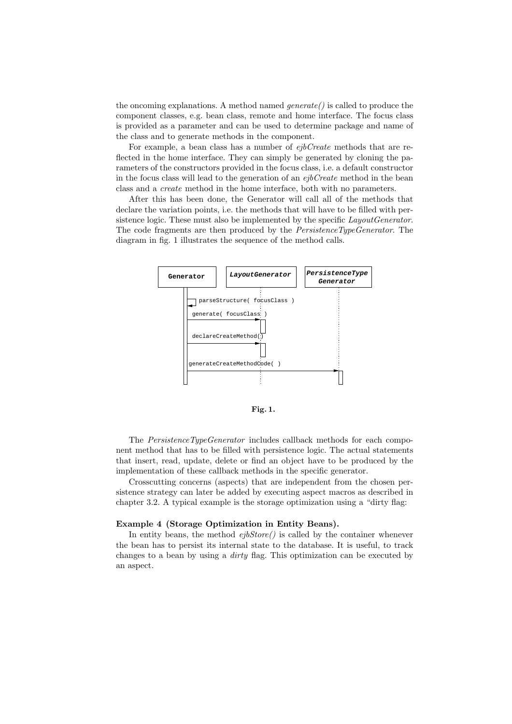the oncoming explanations. A method named  $\mathit{generate}(i)$  is called to produce the component classes, e.g. bean class, remote and home interface. The focus class is provided as a parameter and can be used to determine package and name of the class and to generate methods in the component.

For example, a bean class has a number of *ejbCreate* methods that are reflected in the home interface. They can simply be generated by cloning the parameters of the constructors provided in the focus class, i.e. a default constructor in the focus class will lead to the generation of an  $ejbCreate$  method in the bean class and a create method in the home interface, both with no parameters.

After this has been done, the Generator will call all of the methods that declare the variation points, i.e. the methods that will have to be filled with persistence logic. These must also be implemented by the specific *LayoutGenerator*. The code fragments are then produced by the PersistenceTypeGenerator. The diagram in fig. 1 illustrates the sequence of the method calls.



Fig. 1.

The PersistenceTypeGenerator includes callback methods for each component method that has to be filled with persistence logic. The actual statements that insert, read, update, delete or find an object have to be produced by the implementation of these callback methods in the specific generator.

Crosscutting concerns (aspects) that are independent from the chosen persistence strategy can later be added by executing aspect macros as described in chapter 3.2. A typical example is the storage optimization using a "dirty flag:

### Example 4 (Storage Optimization in Entity Beans).

In entity beans, the method  $ejbStore()$  is called by the container whenever the bean has to persist its internal state to the database. It is useful, to track changes to a bean by using a dirty flag. This optimization can be executed by an aspect.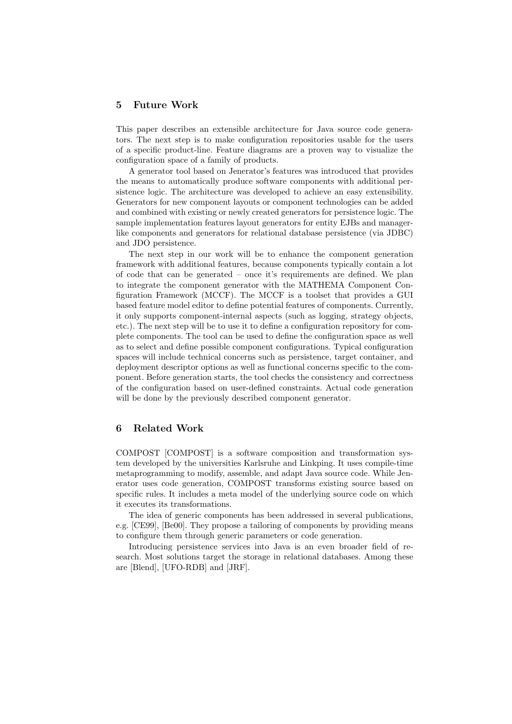# 5 Future Work

This paper describes an extensible architecture for Java source code generators. The next step is to make configuration repositories usable for the users of a specific product-line. Feature diagrams are a proven way to visualize the configuration space of a family of products.

A generator tool based on Jenerator's features was introduced that provides the means to automatically produce software components with additional persistence logic. The architecture was developed to achieve an easy extensibility. Generators for new component layouts or component technologies can be added and combined with existing or newly created generators for persistence logic. The sample implementation features layout generators for entity EJBs and managerlike components and generators for relational database persistence (via JDBC) and JDO persistence.

The next step in our work will be to enhance the component generation framework with additional features, because components typically contain a lot of code that can be generated – once it's requirements are defined. We plan to integrate the component generator with the MATHEMA Component Configuration Framework (MCCF). The MCCF is a toolset that provides a GUI based feature model editor to define potential features of components. Currently, it only supports component-internal aspects (such as logging, strategy objects, etc.). The next step will be to use it to define a configuration repository for complete components. The tool can be used to define the configuration space as well as to select and define possible component configurations. Typical configuration spaces will include technical concerns such as persistence, target container, and deployment descriptor options as well as functional concerns specific to the component. Before generation starts, the tool checks the consistency and correctness of the configuration based on user-defined constraints. Actual code generation will be done by the previously described component generator.

# 6 Related Work

COMPOST [COMPOST] is a software composition and transformation system developed by the universities Karlsruhe and Linkping. It uses compile-time metaprogramming to modify, assemble, and adapt Java source code. While Jenerator uses code generation, COMPOST transforms existing source based on specific rules. It includes a meta model of the underlying source code on which it executes its transformations.

The idea of generic components has been addressed in several publications, e.g. [CE99], [Be00]. They propose a tailoring of components by providing means to configure them through generic parameters or code generation.

Introducing persistence services into Java is an even broader field of research. Most solutions target the storage in relational databases. Among these are [Blend], [UFO-RDB] and [JRF].